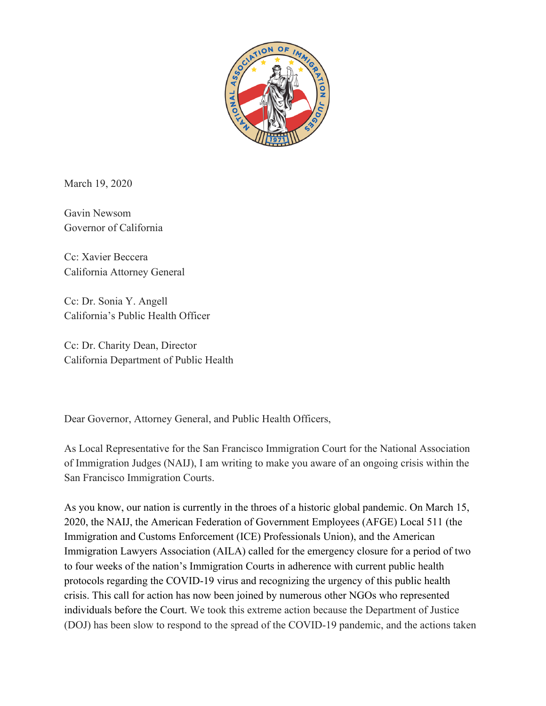

March 19, 2020

Gavin Newsom Governor of California

Cc: Xavier Beccera California Attorney General

Cc: Dr. Sonia Y. Angell California's Public Health Officer

Cc: Dr. Charity Dean, Director California Department of Public Health

Dear Governor, Attorney General, and Public Health Officers,

As Local Representative for the San Francisco Immigration Court for the National Association of Immigration Judges (NAIJ), I am writing to make you aware of an ongoing crisis within the San Francisco Immigration Courts.

As you know, our nation is currently in the throes of a historic global pandemic. On March 15, 2020, the NAIJ, the American Federation of Government Employees (AFGE) Local 511 (the Immigration and Customs Enforcement (ICE) Professionals Union), and the American Immigration Lawyers Association (AILA) called for the emergency closure for a period of two to four weeks of the nation's Immigration Courts in adherence with current public health protocols regarding the COVID-19 virus and recognizing the urgency of this public health crisis. This call for action has now been joined by numerous other NGOs who represented individuals before the Court. We took this extreme action because the Department of Justice (DOJ) has been slow to respond to the spread of the COVID-19 pandemic, and the actions taken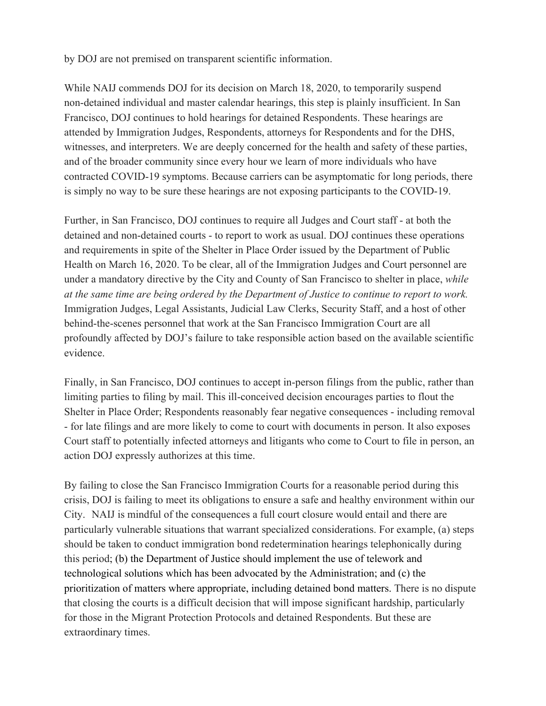by DOJ are not premised on transparent scientific information.

While NAIJ commends DOJ for its decision on March 18, 2020, to temporarily suspend non-detained individual and master calendar hearings, this step is plainly insufficient. In San Francisco, DOJ continues to hold hearings for detained Respondents. These hearings are attended by Immigration Judges, Respondents, attorneys for Respondents and for the DHS, witnesses, and interpreters. We are deeply concerned for the health and safety of these parties, and of the broader community since every hour we learn of more individuals who have contracted COVID-19 symptoms. Because carriers can be asymptomatic for long periods, there is simply no way to be sure these hearings are not exposing participants to the COVID-19.

Further, in San Francisco, DOJ continues to require all Judges and Court staff - at both the detained and non-detained courts - to report to work as usual. DOJ continues these operations and requirements in spite of the Shelter in Place Order issued by the Department of Public Health on March 16, 2020. To be clear, all of the Immigration Judges and Court personnel are under a mandatory directive by the City and County of San Francisco to shelter in place, *while at the same time are being ordered by the Department of Justice to continue to report to work.* Immigration Judges, Legal Assistants, Judicial Law Clerks, Security Staff, and a host of other behind-the-scenes personnel that work at the San Francisco Immigration Court are all profoundly affected by DOJ's failure to take responsible action based on the available scientific evidence.

Finally, in San Francisco, DOJ continues to accept in-person filings from the public, rather than limiting parties to filing by mail. This ill-conceived decision encourages parties to flout the Shelter in Place Order; Respondents reasonably fear negative consequences - including removal - for late filings and are more likely to come to court with documents in person. It also exposes Court staff to potentially infected attorneys and litigants who come to Court to file in person, an action DOJ expressly authorizes at this time.

By failing to close the San Francisco Immigration Courts for a reasonable period during this crisis, DOJ is failing to meet its obligations to ensure a safe and healthy environment within our City. NAIJ is mindful of the consequences a full court closure would entail and there are particularly vulnerable situations that warrant specialized considerations. For example, (a) steps should be taken to conduct immigration bond redetermination hearings telephonically during this period; (b) the Department of Justice should implement the use of telework and technological solutions which has been advocated by the Administration; and (c) the prioritization of matters where appropriate, including detained bond matters. There is no dispute that closing the courts is a difficult decision that will impose significant hardship, particularly for those in the Migrant Protection Protocols and detained Respondents. But these are extraordinary times.